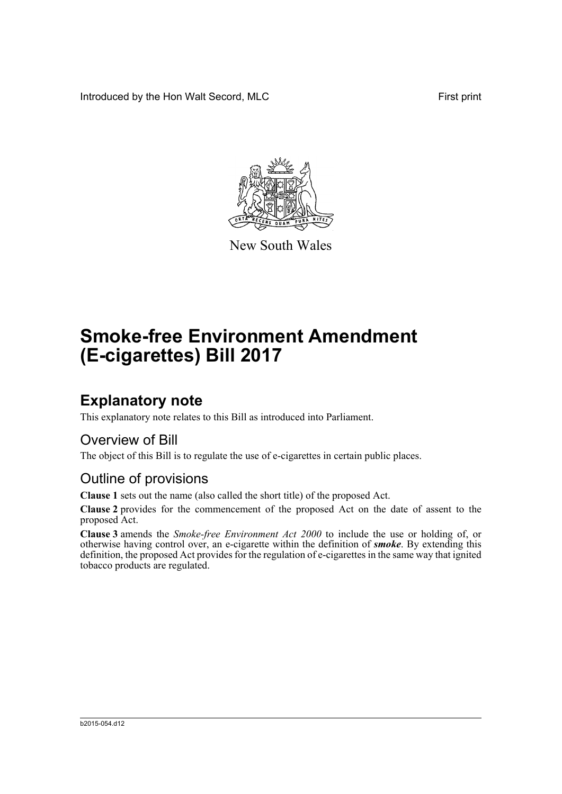Introduced by the Hon Walt Secord, MLC First print



New South Wales

# **Smoke-free Environment Amendment (E-cigarettes) Bill 2017**

### **Explanatory note**

This explanatory note relates to this Bill as introduced into Parliament.

#### Overview of Bill

The object of this Bill is to regulate the use of e-cigarettes in certain public places.

#### Outline of provisions

**Clause 1** sets out the name (also called the short title) of the proposed Act.

**Clause 2** provides for the commencement of the proposed Act on the date of assent to the proposed Act.

**Clause 3** amends the *Smoke-free Environment Act 2000* to include the use or holding of, or otherwise having control over, an e-cigarette within the definition of *smoke*. By extending this definition, the proposed Act provides for the regulation of e-cigarettes in the same way that ignited tobacco products are regulated.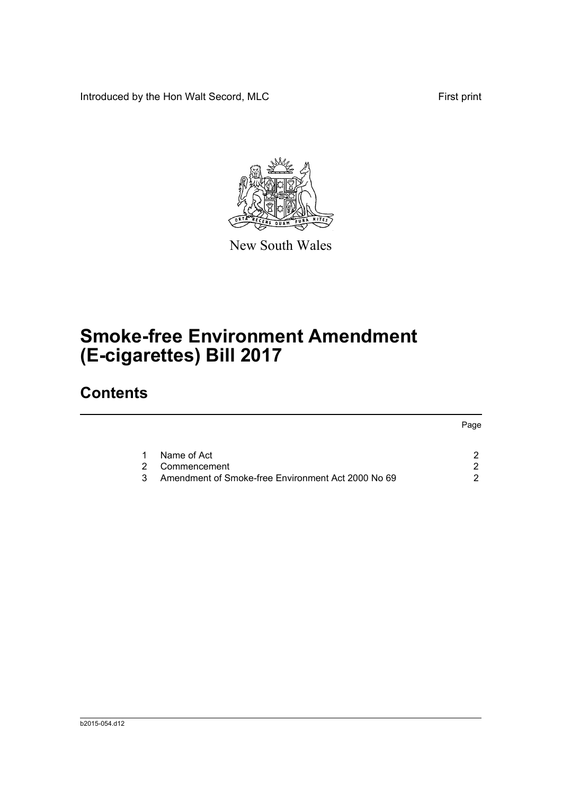Introduced by the Hon Walt Secord, MLC First print

Page



New South Wales

# **Smoke-free Environment Amendment (E-cigarettes) Bill 2017**

## **Contents**

|  |                                                    | Page |
|--|----------------------------------------------------|------|
|  |                                                    |      |
|  | Name of Act                                        |      |
|  | 2 Commencement                                     |      |
|  | Amendment of Smoke-free Environment Act 2000 No 69 |      |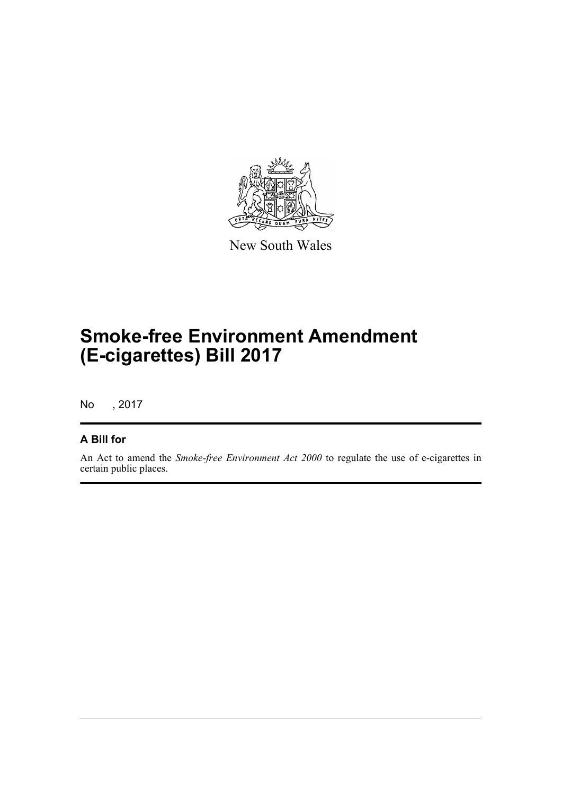

New South Wales

# **Smoke-free Environment Amendment (E-cigarettes) Bill 2017**

No , 2017

#### **A Bill for**

An Act to amend the *Smoke-free Environment Act 2000* to regulate the use of e-cigarettes in certain public places.